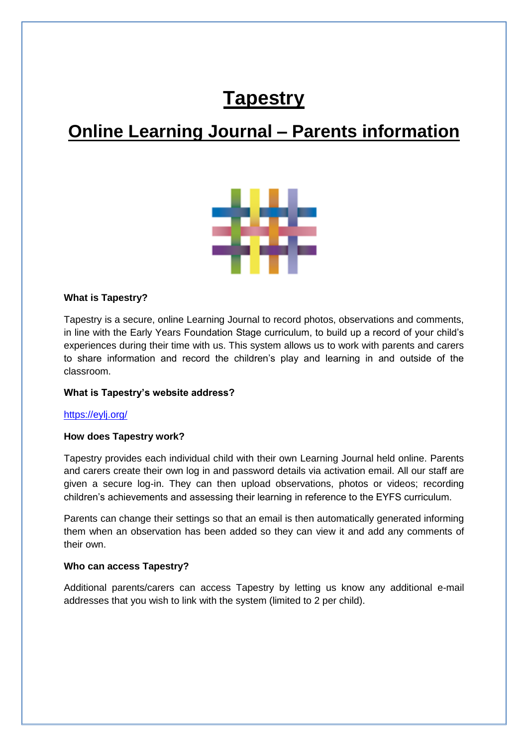# **Tapestry**

# **Online Learning Journal – Parents information**



#### **What is Tapestry?**

Tapestry is a secure, online Learning Journal to record photos, observations and comments, in line with the Early Years Foundation Stage curriculum, to build up a record of your child's experiences during their time with us. This system allows us to work with parents and carers to share information and record the children's play and learning in and outside of the classroom.

### **What is Tapestry's website address?**

#### <https://eylj.org/>

#### **How does Tapestry work?**

Tapestry provides each individual child with their own Learning Journal held online. Parents and carers create their own log in and password details via activation email. All our staff are given a secure log-in. They can then upload observations, photos or videos; recording children's achievements and assessing their learning in reference to the EYFS curriculum.

Parents can change their settings so that an email is then automatically generated informing them when an observation has been added so they can view it and add any comments of their own.

#### **Who can access Tapestry?**

Additional parents/carers can access Tapestry by letting us know any additional e-mail addresses that you wish to link with the system (limited to 2 per child).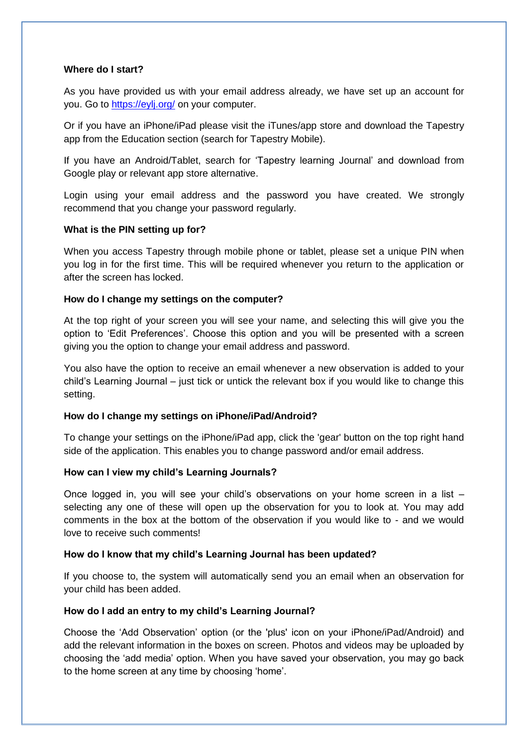#### **Where do I start?**

As you have provided us with your email address already, we have set up an account for you. Go to<https://eylj.org/> on your computer.

Or if you have an iPhone/iPad please visit the iTunes/app store and download the Tapestry app from the Education section (search for Tapestry Mobile).

If you have an Android/Tablet, search for 'Tapestry learning Journal' and download from Google play or relevant app store alternative.

Login using your email address and the password you have created. We strongly recommend that you change your password regularly.

#### **What is the PIN setting up for?**

When you access Tapestry through mobile phone or tablet, please set a unique PIN when you log in for the first time. This will be required whenever you return to the application or after the screen has locked.

#### **How do I change my settings on the computer?**

At the top right of your screen you will see your name, and selecting this will give you the option to 'Edit Preferences'. Choose this option and you will be presented with a screen giving you the option to change your email address and password.

You also have the option to receive an email whenever a new observation is added to your child's Learning Journal – just tick or untick the relevant box if you would like to change this setting.

# **How do I change my settings on iPhone/iPad/Android?**

To change your settings on the iPhone/iPad app, click the 'gear' button on the top right hand side of the application. This enables you to change password and/or email address.

#### **How can I view my child's Learning Journals?**

Once logged in, you will see your child's observations on your home screen in a list – selecting any one of these will open up the observation for you to look at. You may add comments in the box at the bottom of the observation if you would like to - and we would love to receive such comments!

#### **How do I know that my child's Learning Journal has been updated?**

If you choose to, the system will automatically send you an email when an observation for your child has been added.

#### **How do I add an entry to my child's Learning Journal?**

Choose the 'Add Observation' option (or the 'plus' icon on your iPhone/iPad/Android) and add the relevant information in the boxes on screen. Photos and videos may be uploaded by choosing the 'add media' option. When you have saved your observation, you may go back to the home screen at any time by choosing 'home'.